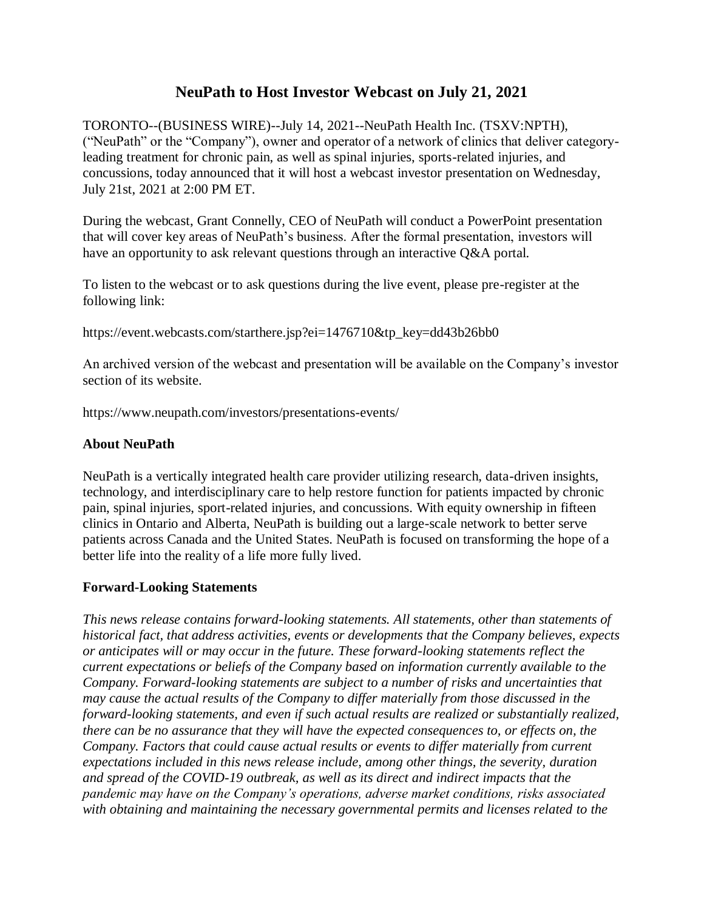## **NeuPath to Host Investor Webcast on July 21, 2021**

TORONTO--(BUSINESS WIRE)--July 14, 2021--NeuPath Health Inc. (TSXV:NPTH), ("NeuPath" or the "Company"), owner and operator of a network of clinics that deliver categoryleading treatment for chronic pain, as well as spinal injuries, sports-related injuries, and concussions, today announced that it will host a webcast investor presentation on Wednesday, July 21st, 2021 at 2:00 PM ET.

During the webcast, Grant Connelly, CEO of NeuPath will conduct a PowerPoint presentation that will cover key areas of NeuPath's business. After the formal presentation, investors will have an opportunity to ask relevant questions through an interactive Q&A portal.

To listen to the webcast or to ask questions during the live event, please pre-register at the following link:

https://event.webcasts.com/starthere.jsp?ei=1476710&tp\_key=dd43b26bb0

An archived version of the webcast and presentation will be available on the Company's investor section of its website.

https://www.neupath.com/investors/presentations-events/

## **About NeuPath**

NeuPath is a vertically integrated health care provider utilizing research, data-driven insights, technology, and interdisciplinary care to help restore function for patients impacted by chronic pain, spinal injuries, sport-related injuries, and concussions. With equity ownership in fifteen clinics in Ontario and Alberta, NeuPath is building out a large-scale network to better serve patients across Canada and the United States. NeuPath is focused on transforming the hope of a better life into the reality of a life more fully lived.

## **Forward-Looking Statements**

*This news release contains forward-looking statements. All statements, other than statements of historical fact, that address activities, events or developments that the Company believes, expects or anticipates will or may occur in the future. These forward-looking statements reflect the current expectations or beliefs of the Company based on information currently available to the Company. Forward-looking statements are subject to a number of risks and uncertainties that may cause the actual results of the Company to differ materially from those discussed in the forward-looking statements, and even if such actual results are realized or substantially realized, there can be no assurance that they will have the expected consequences to, or effects on, the Company. Factors that could cause actual results or events to differ materially from current expectations included in this news release include, among other things, the severity, duration and spread of the COVID-19 outbreak, as well as its direct and indirect impacts that the pandemic may have on the Company's operations, adverse market conditions, risks associated with obtaining and maintaining the necessary governmental permits and licenses related to the*